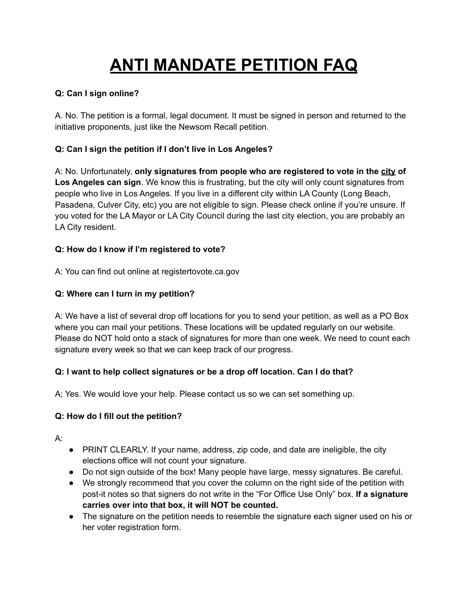# **ANTI MANDATE PETITION FAQ**

## **Q: Can I sign online?**

A. No. The petition is a formal, legal document. It must be signed in person and returned to the initiative proponents, just like the Newsom Recall petition.

## **Q: Can I sign the petition if I don't live in Los Angeles?**

A: No. Unfortunately, **only signatures from people who are registered to vote in the city of Los Angeles can sign**. We know this is frustrating, but the city will only count signatures from people who live in Los Angeles. If you live in a different city within LA County (Long Beach, Pasadena, Culver City, etc) you are not eligible to sign. Please check online if you're unsure. If you voted for the LA Mayor or LA City Council during the last city election, you are probably an LA City resident.

### **Q: How do I know if I'm registered to vote?**

A: You can find out online at registertovote.ca.gov

## **Q: Where can I turn in my petition?**

A: We have a list of several drop off locations for you to send your petition, as well as a PO Box where you can mail your petitions. These locations will be updated regularly on our website. Please do NOT hold onto a stack of signatures for more than one week. We need to count each signature every week so that we can keep track of our progress.

### **Q: I want to help collect signatures or be a drop off location. Can I do that?**

A; Yes. We would love your help. Please contact us so we can set something up.

### **Q: How do I fill out the petition?**

A:

- PRINT CLEARLY. If your name, address, zip code, and date are ineligible, the city elections office will not count your signature.
- Do not sign outside of the box! Many people have large, messy signatures. Be careful.
- We strongly recommend that you cover the column on the right side of the petition with post-it notes so that signers do not write in the "For Office Use Only" box. **If a signature carries over into that box, it will NOT be counted.**
- The signature on the petition needs to resemble the signature each signer used on his or her voter registration form.